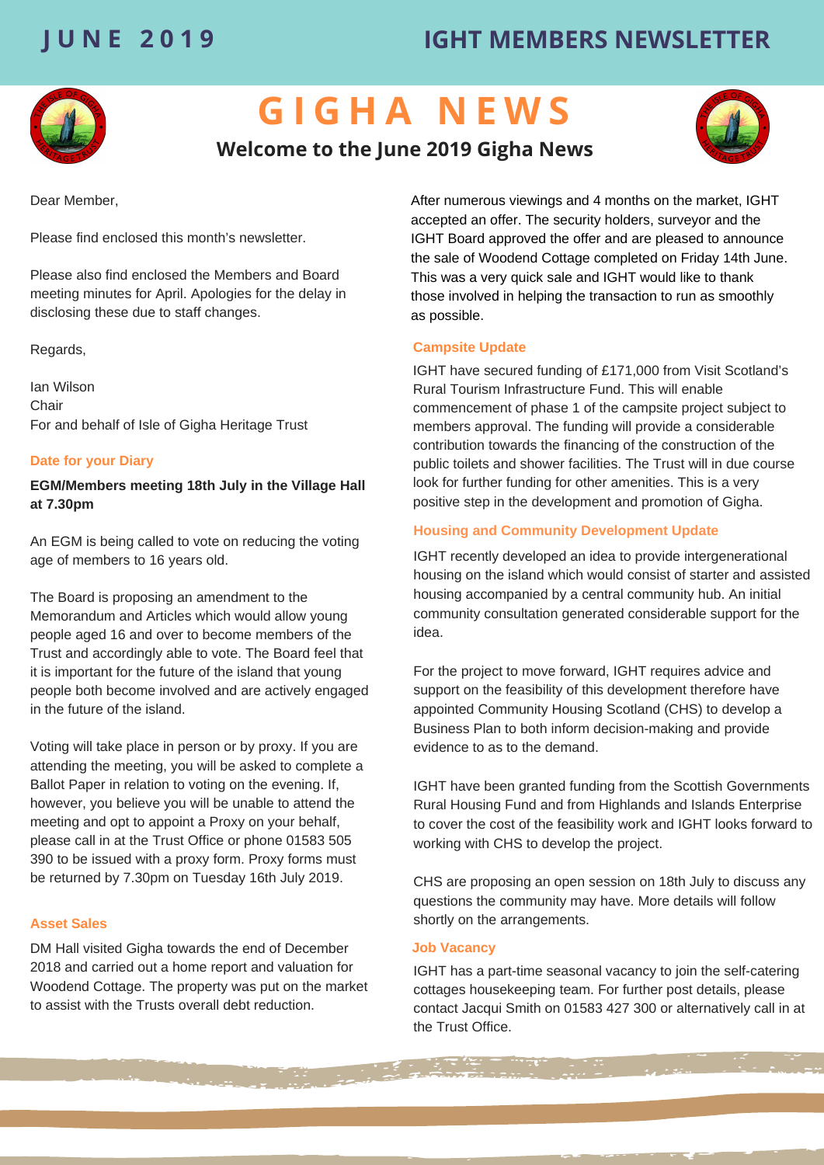## **J U N E 2 0 1 9 IGHT MEMBERS NEWSLETTER**



# **G I G H A N E W S**

### **Welcome to the June 2019 Gigha News**



Dear Member,

Please find enclosed this month's newsletter.

Please also find enclosed the Members and Board meeting minutes for April. Apologies for the delay in disclosing these due to staff changes.

Regards,

Ian Wilson **Chair** For and behalf of Isle of Gigha Heritage Trust

#### **Date for your Diary**

**EGM/Members meeting 18th July in the Village Hall at 7.30pm**

An EGM is being called to vote on reducing the voting age of members to 16 years old.

The Board is proposing an amendment to the Memorandum and Articles which would allow young people aged 16 and over to become members of the Trust and accordingly able to vote. The Board feel that it is important for the future of the island that young people both become involved and are actively engaged in the future of the island.

Voting will take place in person or by proxy. If you are attending the meeting, you will be asked to complete a Ballot Paper in relation to voting on the evening. If, however, you believe you will be unable to attend the meeting and opt to appoint a Proxy on your behalf, please call in at the Trust Office or phone 01583 505 390 to be issued with a proxy form. Proxy forms must be returned by 7.30pm on Tuesday 16th July 2019.

### **Asset Sales**

DM Hall visited Gigha towards the end of December 2018 and carried out a home report and valuation for Woodend Cottage. The property was put on the market to assist with the Trusts overall debt reduction.

After numerous viewings and 4 months on the market, IGHT accepted an offer. The security holders, surveyor and the IGHT Board approved the offer and are pleased to announce the sale of Woodend Cottage completed on Friday 14th June. This was a very quick sale and IGHT would like to thank those involved in helping the transaction to run as smoothly as possible.

### **Campsite Update**

IGHT have secured funding of £171,000 from Visit Scotland's Rural Tourism Infrastructure Fund. This will enable commencement of phase 1 of the campsite project subject to members approval. The funding will provide a considerable contribution towards the financing of the construction of the public toilets and shower facilities. The Trust will in due course look for further funding for other amenities. This is a very positive step in the development and promotion of Gigha.

### **Housing and Community Development Update**

IGHT recently developed an idea to provide intergenerational housing on the island which would consist of starter and assisted housing accompanied by a central community hub. An initial community consultation generated considerable support for the idea.

For the project to move forward, IGHT requires advice and support on the feasibility of this development therefore have appointed Community Housing Scotland (CHS) to develop a Business Plan to both inform decision-making and provide evidence to as to the demand.

IGHT have been granted funding from the Scottish Governments Rural Housing Fund and from Highlands and Islands Enterprise to cover the cost of the feasibility work and IGHT looks forward to working with CHS to develop the project.

CHS are proposing an open session on 18th July to discuss any questions the community may have. More details will follow shortly on the arrangements.

### **Job Vacancy**

IGHT has a part-time seasonal vacancy to join the self-catering cottages housekeeping team. For further post details, please contact Jacqui Smith on 01583 427 300 or alternatively call in at the Trust Office.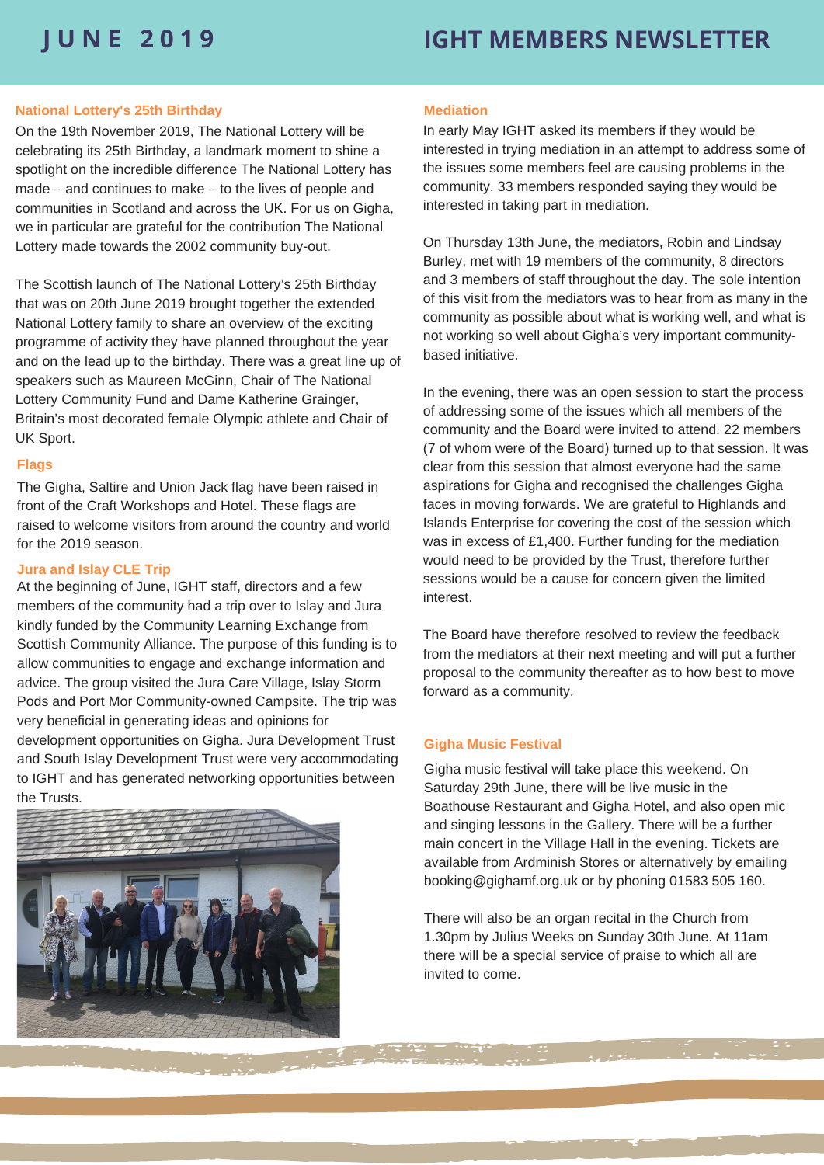# **J U N E 2 0 1 9 IGHT MEMBERS NEWSLETTER**

#### **National Lottery's 25th Birthday**

On the 19th November 2019, The National Lottery will be celebrating its 25th Birthday, a landmark moment to shine a spotlight on the incredible difference The National Lottery has made – and continues to make – to the lives of people and communities in Scotland and across the UK. For us on Gigha, we in particular are grateful for the contribution The National Lottery made towards the 2002 community buy-out.

The Scottish launch of The National Lottery's 25th Birthday that was on 20th June 2019 brought together the extended National Lottery family to share an overview of the exciting programme of activity they have planned throughout the year and on the lead up to the birthday. There was a great line up of speakers such as Maureen McGinn, Chair of The National Lottery Community Fund and Dame Katherine Grainger, Britain's most decorated female Olympic athlete and Chair of UK Sport.

#### **Flags**

The Gigha, Saltire and Union Jack flag have been raised in front of the Craft Workshops and Hotel. These flags are raised to welcome visitors from around the country and world for the 2019 season.

#### **Jura and Islay CLE Trip**

At the beginning of June, IGHT staff, directors and a few members of the community had a trip over to Islay and Jura kindly funded by the Community Learning Exchange from Scottish Community Alliance. The purpose of this funding is to allow communities to engage and exchange information and advice. The group visited the Jura Care Village, Islay Storm Pods and Port Mor Community-owned Campsite. The trip was very beneficial in generating ideas and opinions for development opportunities on Gigha. Jura Development Trust and South Islay Development Trust were very accommodating to IGHT and has generated networking opportunities between the Trusts.



#### **Mediation**

In early May IGHT asked its members if they would be interested in trying mediation in an attempt to address some of the issues some members feel are causing problems in the community. 33 members responded saying they would be interested in taking part in mediation.

On Thursday 13th June, the mediators, Robin and Lindsay Burley, met with 19 members of the community, 8 directors and 3 members of staff throughout the day. The sole intention of this visit from the mediators was to hear from as many in the community as possible about what is working well, and what is not working so well about Gigha's very important communitybased initiative.

In the evening, there was an open session to start the process of addressing some of the issues which all members of the community and the Board were invited to attend. 22 members (7 of whom were of the Board) turned up to that session. It was clear from this session that almost everyone had the same aspirations for Gigha and recognised the challenges Gigha faces in moving forwards. We are grateful to Highlands and Islands Enterprise for covering the cost of the session which was in excess of £1,400. Further funding for the mediation would need to be provided by the Trust, therefore further sessions would be a cause for concern given the limited interest.

The Board have therefore resolved to review the feedback from the mediators at their next meeting and will put a further proposal to the community thereafter as to how best to move forward as a community.

#### **Gigha Music Festival**

Gigha music festival will take place this weekend. On Saturday 29th June, there will be live music in the Boathouse Restaurant and Gigha Hotel, and also open mic and singing lessons in the Gallery. There will be a further main concert in the Village Hall in the evening. Tickets are available from Ardminish Stores or alternatively by emailing booking@gighamf.org.uk or by phoning 01583 505 160.

There will also be an organ recital in the Church from 1.30pm by Julius Weeks on Sunday 30th June. At 11am there will be a special service of praise to which all are invited to come.